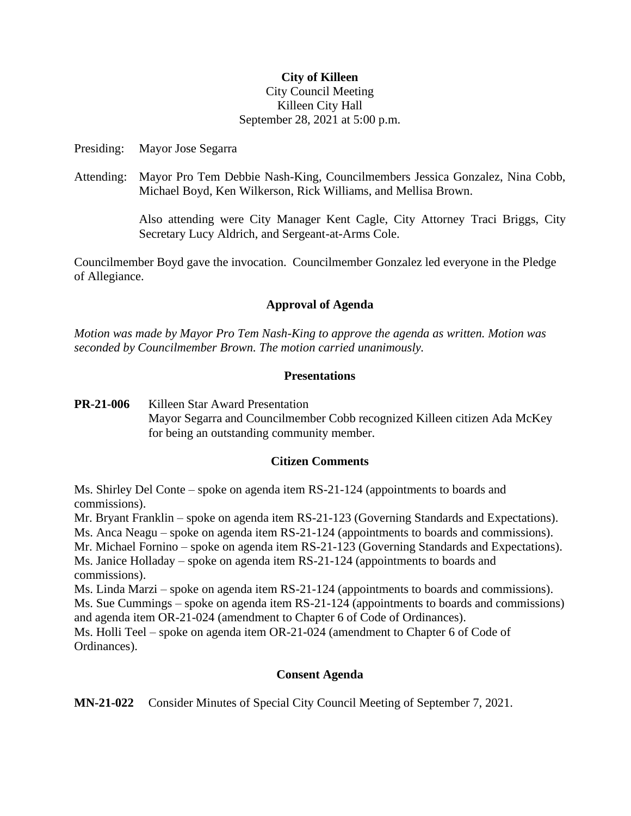# **City of Killeen**

## City Council Meeting Killeen City Hall September 28, 2021 at 5:00 p.m.

Presiding: Mayor Jose Segarra

Attending: Mayor Pro Tem Debbie Nash-King, Councilmembers Jessica Gonzalez, Nina Cobb, Michael Boyd, Ken Wilkerson, Rick Williams, and Mellisa Brown.

> Also attending were City Manager Kent Cagle, City Attorney Traci Briggs, City Secretary Lucy Aldrich, and Sergeant-at-Arms Cole.

Councilmember Boyd gave the invocation. Councilmember Gonzalez led everyone in the Pledge of Allegiance.

# **Approval of Agenda**

*Motion was made by Mayor Pro Tem Nash-King to approve the agenda as written. Motion was seconded by Councilmember Brown. The motion carried unanimously.*

## **Presentations**

**PR-21-006** Killeen Star Award Presentation Mayor Segarra and Councilmember Cobb recognized Killeen citizen Ada McKey for being an outstanding community member.

## **Citizen Comments**

Ms. Shirley Del Conte – spoke on agenda item RS-21-124 (appointments to boards and commissions).

Mr. Bryant Franklin – spoke on agenda item RS-21-123 (Governing Standards and Expectations).

Ms. Anca Neagu – spoke on agenda item RS-21-124 (appointments to boards and commissions). Mr. Michael Fornino – spoke on agenda item RS-21-123 (Governing Standards and Expectations). Ms. Janice Holladay – spoke on agenda item RS-21-124 (appointments to boards and commissions).

Ms. Linda Marzi – spoke on agenda item RS-21-124 (appointments to boards and commissions). Ms. Sue Cummings – spoke on agenda item RS-21-124 (appointments to boards and commissions)

and agenda item OR-21-024 (amendment to Chapter 6 of Code of Ordinances).

Ms. Holli Teel – spoke on agenda item OR-21-024 (amendment to Chapter 6 of Code of Ordinances).

# **Consent Agenda**

**MN-21-022** Consider Minutes of Special City Council Meeting of September 7, 2021.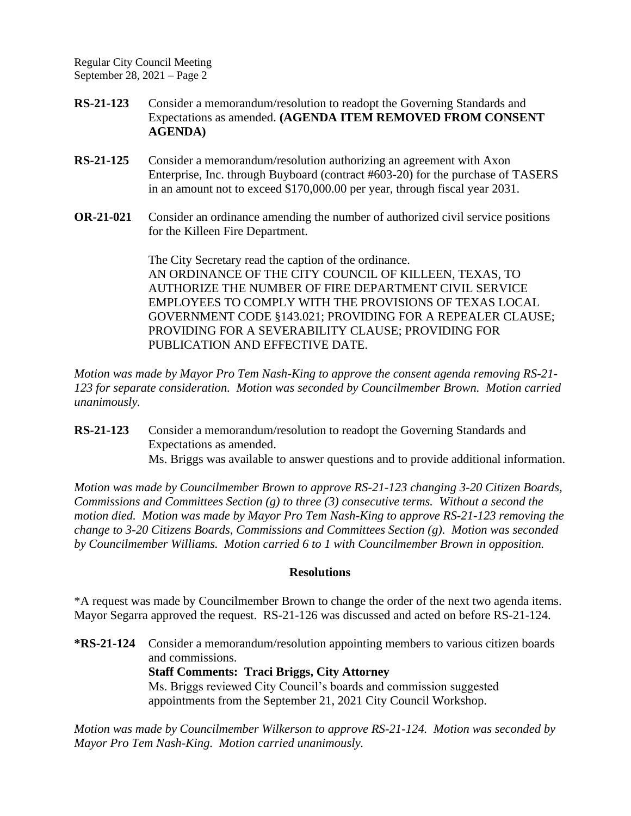Regular City Council Meeting September 28, 2021 – Page 2

- **RS-21-123** Consider a memorandum/resolution to readopt the Governing Standards and Expectations as amended. **(AGENDA ITEM REMOVED FROM CONSENT AGENDA)**
- **RS-21-125** Consider a memorandum/resolution authorizing an agreement with Axon Enterprise, Inc. through Buyboard (contract #603-20) for the purchase of TASERS in an amount not to exceed \$170,000.00 per year, through fiscal year 2031.
- **OR-21-021** Consider an ordinance amending the number of authorized civil service positions for the Killeen Fire Department.

The City Secretary read the caption of the ordinance. AN ORDINANCE OF THE CITY COUNCIL OF KILLEEN, TEXAS, TO AUTHORIZE THE NUMBER OF FIRE DEPARTMENT CIVIL SERVICE EMPLOYEES TO COMPLY WITH THE PROVISIONS OF TEXAS LOCAL GOVERNMENT CODE §143.021; PROVIDING FOR A REPEALER CLAUSE; PROVIDING FOR A SEVERABILITY CLAUSE; PROVIDING FOR PUBLICATION AND EFFECTIVE DATE.

*Motion was made by Mayor Pro Tem Nash-King to approve the consent agenda removing RS-21- 123 for separate consideration. Motion was seconded by Councilmember Brown. Motion carried unanimously.*

**RS-21-123** Consider a memorandum/resolution to readopt the Governing Standards and Expectations as amended. Ms. Briggs was available to answer questions and to provide additional information.

*Motion was made by Councilmember Brown to approve RS-21-123 changing 3-20 Citizen Boards, Commissions and Committees Section (g) to three (3) consecutive terms. Without a second the motion died. Motion was made by Mayor Pro Tem Nash-King to approve RS-21-123 removing the change to 3-20 Citizens Boards, Commissions and Committees Section (g). Motion was seconded by Councilmember Williams. Motion carried 6 to 1 with Councilmember Brown in opposition.*

# **Resolutions**

\*A request was made by Councilmember Brown to change the order of the next two agenda items. Mayor Segarra approved the request. RS-21-126 was discussed and acted on before RS-21-124.

**\*RS-21-124** Consider a memorandum/resolution appointing members to various citizen boards and commissions. **Staff Comments: Traci Briggs, City Attorney** Ms. Briggs reviewed City Council's boards and commission suggested appointments from the September 21, 2021 City Council Workshop.

*Motion was made by Councilmember Wilkerson to approve RS-21-124. Motion was seconded by Mayor Pro Tem Nash-King. Motion carried unanimously.*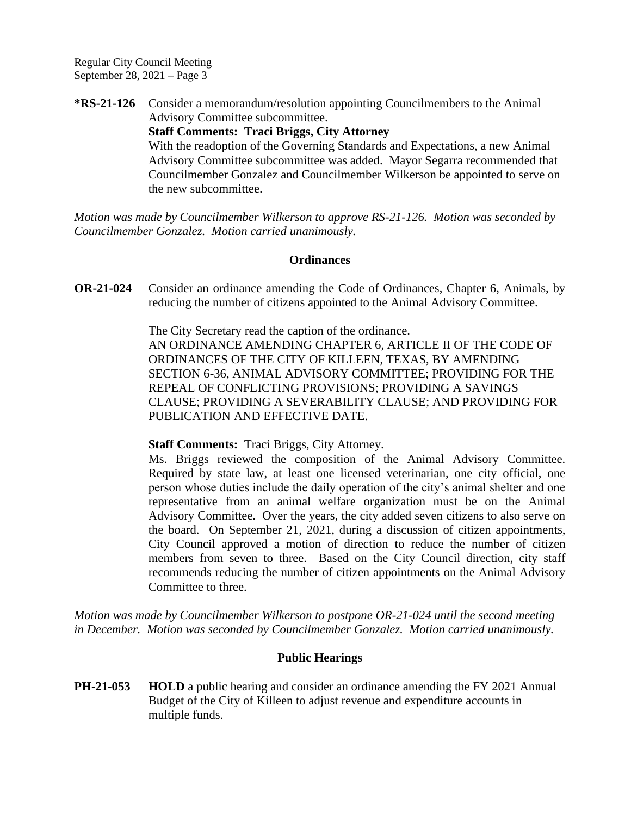Regular City Council Meeting September 28, 2021 – Page 3

**\*RS-21-126** Consider a memorandum/resolution appointing Councilmembers to the Animal Advisory Committee subcommittee.

> **Staff Comments: Traci Briggs, City Attorney** With the readoption of the Governing Standards and Expectations, a new Animal Advisory Committee subcommittee was added. Mayor Segarra recommended that Councilmember Gonzalez and Councilmember Wilkerson be appointed to serve on the new subcommittee.

*Motion was made by Councilmember Wilkerson to approve RS-21-126. Motion was seconded by Councilmember Gonzalez. Motion carried unanimously.*

#### **Ordinances**

**OR-21-024** Consider an ordinance amending the Code of Ordinances, Chapter 6, Animals, by reducing the number of citizens appointed to the Animal Advisory Committee.

The City Secretary read the caption of the ordinance.

AN ORDINANCE AMENDING CHAPTER 6, ARTICLE II OF THE CODE OF ORDINANCES OF THE CITY OF KILLEEN, TEXAS, BY AMENDING SECTION 6-36, ANIMAL ADVISORY COMMITTEE; PROVIDING FOR THE REPEAL OF CONFLICTING PROVISIONS; PROVIDING A SAVINGS CLAUSE; PROVIDING A SEVERABILITY CLAUSE; AND PROVIDING FOR PUBLICATION AND EFFECTIVE DATE.

## **Staff Comments:** Traci Briggs, City Attorney.

Ms. Briggs reviewed the composition of the Animal Advisory Committee. Required by state law, at least one licensed veterinarian, one city official, one person whose duties include the daily operation of the city's animal shelter and one representative from an animal welfare organization must be on the Animal Advisory Committee. Over the years, the city added seven citizens to also serve on the board. On September 21, 2021, during a discussion of citizen appointments, City Council approved a motion of direction to reduce the number of citizen members from seven to three. Based on the City Council direction, city staff recommends reducing the number of citizen appointments on the Animal Advisory Committee to three.

*Motion was made by Councilmember Wilkerson to postpone OR-21-024 until the second meeting in December. Motion was seconded by Councilmember Gonzalez. Motion carried unanimously.*

## **Public Hearings**

**PH-21-053 HOLD** a public hearing and consider an ordinance amending the FY 2021 Annual Budget of the City of Killeen to adjust revenue and expenditure accounts in multiple funds.